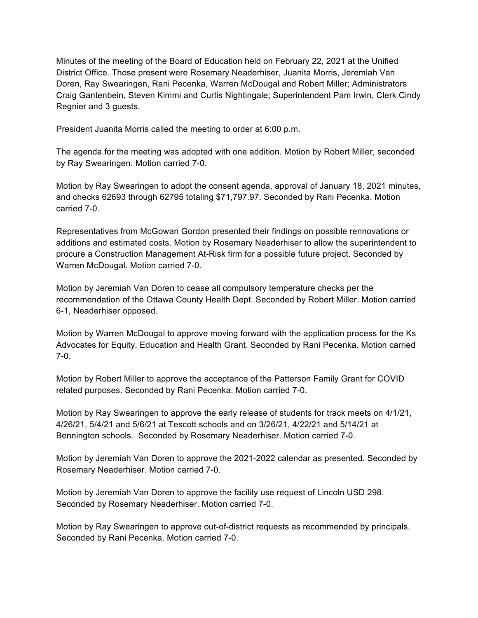Minutes of the meeting of the Board of Education held on February 22, 2021 at the Unified District Office. Those present were Rosemary Neaderhiser, Juanita Morris, Jeremiah Van Doren, Ray Swearingen, Rani Pecenka, Warren McDougal and Robert Miller; Administrators Craig Gantenbein, Steven Kimmi and Curtis Nightingale; Superintendent Pam Irwin, Clerk Cindy Regnier and 3 guests.

President Juanita Morris called the meeting to order at 6:00 p.m.

The agenda for the meeting was adopted with one addition. Motion by Robert Miller, seconded by Ray Swearingen. Motion carried 7-0.

Motion by Ray Swearingen to adopt the consent agenda, approval of January 18, 2021 minutes, and checks 62693 through 62795 totaling \$71,797.97. Seconded by Rani Pecenka. Motion carried 7-0.

Representatives from McGowan Gordon presented their findings on possible rennovations or additions and estimated costs. Motion by Rosemary Neaderhiser to allow the superintendent to procure a Construction Management At-Risk firm for a possible future project. Seconded by Warren McDougal. Motion carried 7-0.

Motion by Jeremiah Van Doren to cease all compulsory temperature checks per the recommendation of the Ottawa County Health Dept. Seconded by Robert Miller. Motion carried 6-1, Neaderhiser opposed.

Motion by Warren McDougal to approve moving forward with the application process for the Ks Advocates for Equity, Education and Health Grant. Seconded by Rani Pecenka. Motion carried 7-0.

Motion by Robert Miller to approve the acceptance of the Patterson Family Grant for COVID related purposes. Seconded by Rani Pecenka. Motion carried 7-0.

Motion by Ray Swearingen to approve the early release of students for track meets on 4/1/21, 4/26/21, 5/4/21 and 5/6/21 at Tescott schools and on 3/26/21, 4/22/21 and 5/14/21 at Bennington schools. Seconded by Rosemary Neaderhiser. Motion carried 7-0.

Motion by Jeremiah Van Doren to approve the 2021-2022 calendar as presented. Seconded by Rosemary Neaderhiser. Motion carried 7-0.

Motion by Jeremiah Van Doren to approve the facility use request of Lincoln USD 298. Seconded by Rosemary Neaderhiser. Motion carried 7-0.

Motion by Ray Swearingen to approve out-of-district requests as recommended by principals. Seconded by Rani Pecenka. Motion carried 7-0.